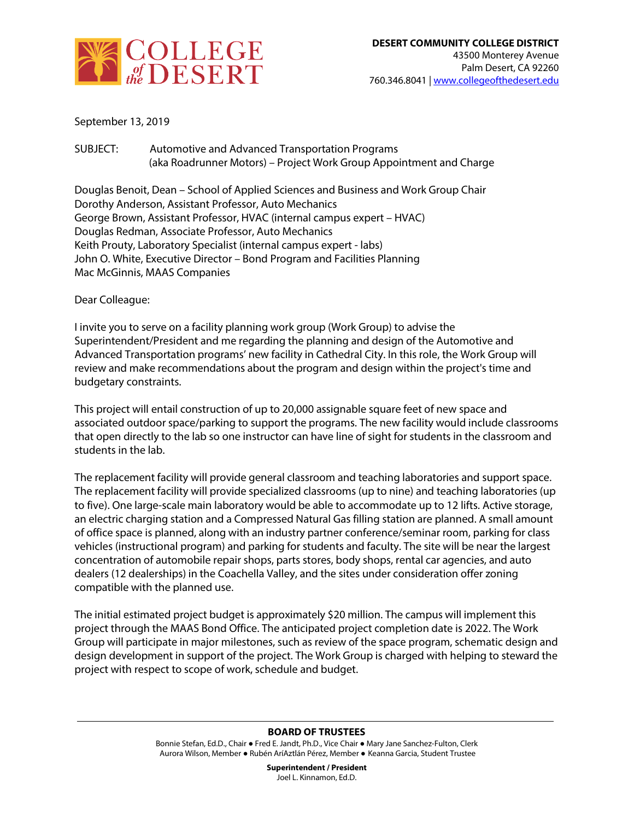

September 13, 2019

SUBJECT: Automotive and Advanced Transportation Programs (aka Roadrunner Motors) – Project Work Group Appointment and Charge

Douglas Benoit, Dean – School of Applied Sciences and Business and Work Group Chair Dorothy Anderson, Assistant Professor, Auto Mechanics George Brown, Assistant Professor, HVAC (internal campus expert – HVAC) Douglas Redman, Associate Professor, Auto Mechanics Keith Prouty, Laboratory Specialist (internal campus expert - labs) John O. White, Executive Director – Bond Program and Facilities Planning Mac McGinnis, MAAS Companies

Dear Colleague:

I invite you to serve on a facility planning work group (Work Group) to advise the Superintendent/President and me regarding the planning and design of the Automotive and Advanced Transportation programs' new facility in Cathedral City. In this role, the Work Group will review and make recommendations about the program and design within the project's time and budgetary constraints.

This project will entail construction of up to 20,000 assignable square feet of new space and associated outdoor space/parking to support the programs. The new facility would include classrooms that open directly to the lab so one instructor can have line of sight for students in the classroom and students in the lab.

The replacement facility will provide general classroom and teaching laboratories and support space. The replacement facility will provide specialized classrooms (up to nine) and teaching laboratories (up to five). One large-scale main laboratory would be able to accommodate up to 12 lifts. Active storage, an electric charging station and a Compressed Natural Gas filling station are planned. A small amount of office space is planned, along with an industry partner conference/seminar room, parking for class vehicles (instructional program) and parking for students and faculty. The site will be near the largest concentration of automobile repair shops, parts stores, body shops, rental car agencies, and auto dealers (12 dealerships) in the Coachella Valley, and the sites under consideration offer zoning compatible with the planned use.

The initial estimated project budget is approximately \$20 million. The campus will implement this project through the MAAS Bond Office. The anticipated project completion date is 2022. The Work Group will participate in major milestones, such as review of the space program, schematic design and design development in support of the project. The Work Group is charged with helping to steward the project with respect to scope of work, schedule and budget.

## **BOARD OF TRUSTEES**

Bonnie Stefan, Ed.D., Chair ● Fred E. Jandt, Ph.D., Vice Chair ● Mary Jane Sanchez-Fulton, Clerk Aurora Wilson, Member ● Rubén AríAztlán Pérez, Member ● Keanna Garcia, Student Trustee

> **Superintendent / President** Joel L. Kinnamon, Ed.D.